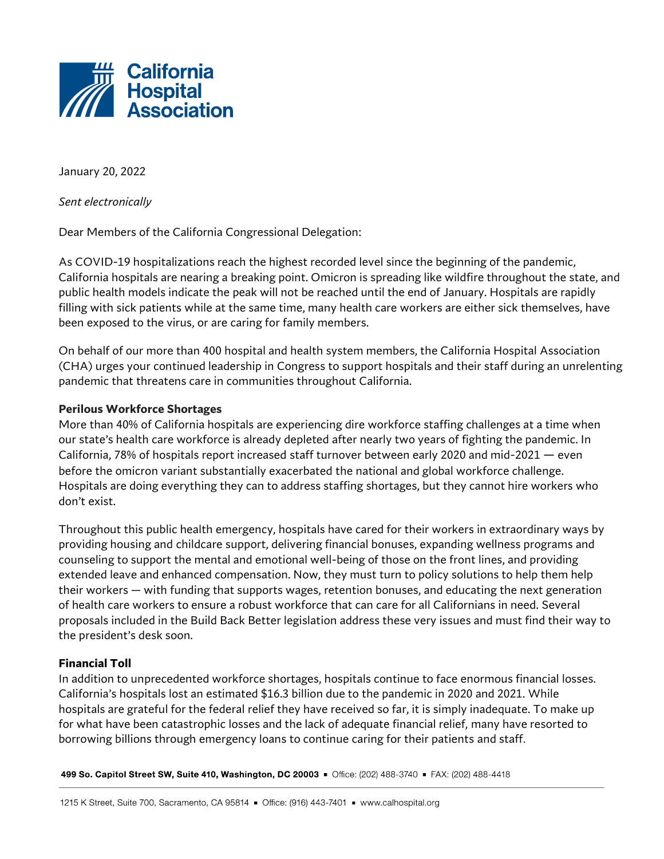

January 20, 2022

*Sent electronically*

Dear Members of the California Congressional Delegation:

As COVID-19 hospitalizations reach the highest recorded level since the beginning of the pandemic, California hospitals are nearing a breaking point. Omicron is spreading like wildfire throughout the state, and public health models indicate the peak will not be reached until the end of January. Hospitals are rapidly filling with sick patients while at the same time, many health care workers are either sick themselves, have been exposed to the virus, or are caring for family members.

On behalf of our more than 400 hospital and health system members, the California Hospital Association (CHA) urges your continued leadership in Congress to support hospitals and their staff during an unrelenting pandemic that threatens care in communities throughout California.

## **Perilous Workforce Shortages**

More than 40% of California hospitals are experiencing dire workforce staffing challenges at a time when our state's health care workforce is already depleted after nearly two years of fighting the pandemic. In California, 78% of hospitals report increased staff turnover between early 2020 and mid-2021 — even before the omicron variant substantially exacerbated the national and global workforce challenge. Hospitals are doing everything they can to address staffing shortages, but they cannot hire workers who don't exist.

Throughout this public health emergency, hospitals have cared for their workers in extraordinary ways by providing housing and childcare support, delivering financial bonuses, expanding wellness programs and counseling to support the mental and emotional well-being of those on the front lines, and providing extended leave and enhanced compensation. Now, they must turn to policy solutions to help them help their workers — with funding that supports wages, retention bonuses, and educating the next generation of health care workers to ensure a robust workforce that can care for all Californians in need. Several proposals included in the Build Back Better legislation address these very issues and must find their way to the president's desk soon.

## **Financial Toll**

In addition to unprecedented workforce shortages, hospitals continue to face enormous financial losses. California's hospitals lost an estimated \$16.3 billion due to the pandemic in 2020 and 2021. While hospitals are grateful for the federal relief they have received so far, it is simply inadequate. To make up for what have been catastrophic losses and the lack of adequate financial relief, many have resorted to borrowing billions through emergency loans to continue caring for their patients and staff.

499 So. Capitol Street SW, Suite 410, Washington, DC 20003 = Office: (202) 488-3740 = FAX: (202) 488-4418